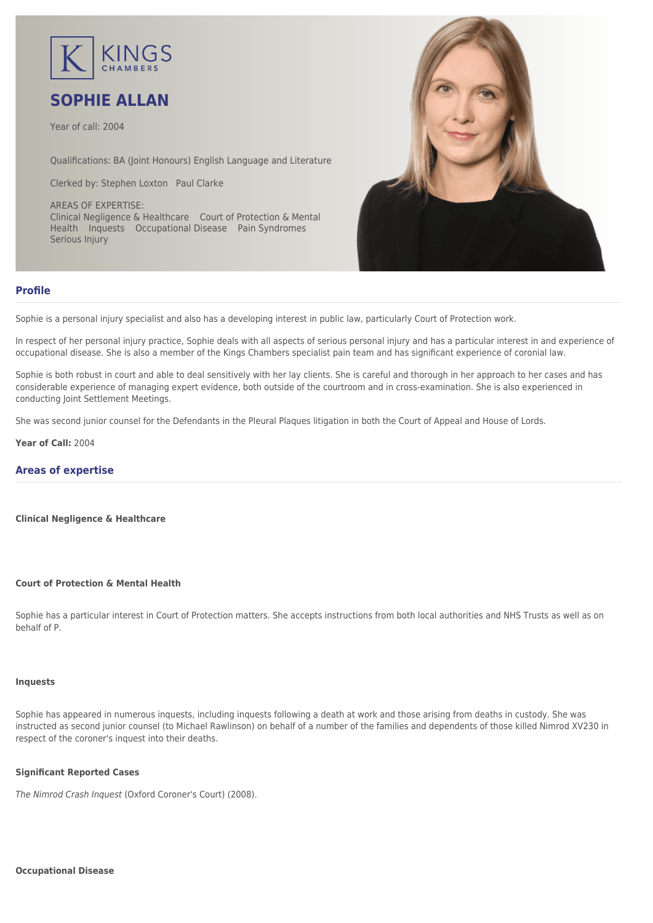

# **SOPHIE ALLAN**

Year of call: 2004

Qualifications: BA (Joint Honours) English Language and Literature

Clerked by: [Stephen Loxton](mailto:sloxton@kingschambers.com) [Paul Clarke](mailto:pclarke@kingschambers.com)

AREAS OF EXPERTISE: Clinical Negligence & Healthcare Court of Protection & Mental Health Inquests Occupational Disease Pain Syndromes Serious Injury



# **Profile**

Sophie is a personal injury specialist and also has a developing interest in public law, particularly Court of Protection work.

In respect of her personal injury practice, Sophie deals with all aspects of serious personal injury and has a particular interest in and experience of occupational disease. She is also a member of the Kings Chambers specialist pain team and has significant experience of coronial law.

Sophie is both robust in court and able to deal sensitively with her lay clients. She is careful and thorough in her approach to her cases and has considerable experience of managing expert evidence, both outside of the courtroom and in cross-examination. She is also experienced in conducting Joint Settlement Meetings.

She was second junior counsel for the Defendants in the Pleural Plaques litigation in both the Court of Appeal and House of Lords.

**Year of Call:** 2004

# **Areas of expertise**

**[Clinical Negligence & Healthcare](#page--1-0)**

# **[Court of Protection & Mental Health](#page--1-0)**

Sophie has a particular interest in Court of Protection matters. She accepts instructions from both local authorities and NHS Trusts as well as on behalf of P.

#### **[Inquests](#page--1-0)**

Sophie has appeared in numerous inquests, including inquests following a death at work and those arising from deaths in custody. She was instructed as second junior counsel (to Michael Rawlinson) on behalf of a number of the families and dependents of those killed Nimrod XV230 in respect of the coroner's inquest into their deaths.

# **Significant Reported Cases**

The Nimrod Crash Inquest (Oxford Coroner's Court) (2008).